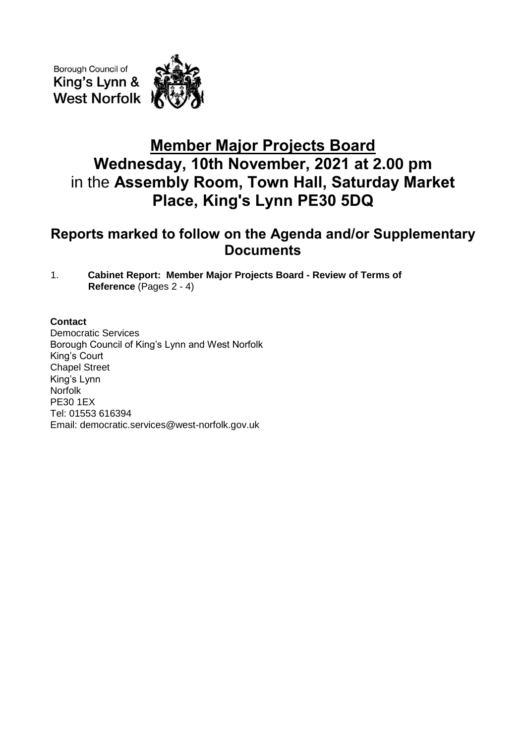Borough Council of King's Lynn & **West Norfolk** 



## **Member Major Projects Board Wednesday, 10th November, 2021 at 2.00 pm** in the **Assembly Room, Town Hall, Saturday Market Place, King's Lynn PE30 5DQ**

## **Reports marked to follow on the Agenda and/or Supplementary Documents**

1. **Cabinet Report: Member Major Projects Board - Review of Terms of Reference** (Pages 2 - 4)

## **Contact**

Democratic Services Borough Council of King's Lynn and West Norfolk King's Court Chapel Street King's Lynn Norfolk PE30 1EX Tel: 01553 616394 Email: democratic.services@west-norfolk.gov.uk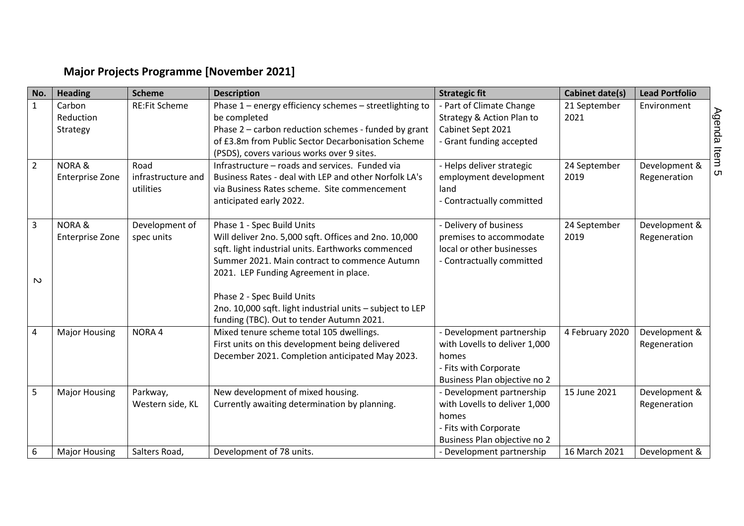## **Major Projects Programme [November 2021]**

| No.            | <b>Heading</b>         | <b>Scheme</b>        | <b>Description</b>                                        | <b>Strategic fit</b>          | <b>Cabinet date(s)</b> | <b>Lead Portfolio</b> |
|----------------|------------------------|----------------------|-----------------------------------------------------------|-------------------------------|------------------------|-----------------------|
| $\mathbf{1}$   | Carbon                 | <b>RE:Fit Scheme</b> | Phase 1 - energy efficiency schemes - streetlighting to   | - Part of Climate Change      | 21 September           | Environment           |
|                | Reduction              |                      | be completed                                              | Strategy & Action Plan to     | 2021                   |                       |
|                | Strategy               |                      | Phase 2 - carbon reduction schemes - funded by grant      | Cabinet Sept 2021             |                        |                       |
|                |                        |                      | of £3.8m from Public Sector Decarbonisation Scheme        | - Grant funding accepted      |                        |                       |
|                |                        |                      | (PSDS), covers various works over 9 sites.                |                               |                        |                       |
| $\overline{2}$ | <b>NORA &amp;</b>      | Road                 | Infrastructure - roads and services. Funded via           | - Helps deliver strategic     | 24 September           | Development &         |
|                | <b>Enterprise Zone</b> | infrastructure and   | Business Rates - deal with LEP and other Norfolk LA's     | employment development        | 2019                   | Regeneration          |
|                |                        | utilities            | via Business Rates scheme. Site commencement              | land                          |                        |                       |
|                |                        |                      | anticipated early 2022.                                   | - Contractually committed     |                        |                       |
| 3              | <b>NORA &amp;</b>      | Development of       | Phase 1 - Spec Build Units                                | - Delivery of business        | 24 September           | Development &         |
|                | <b>Enterprise Zone</b> | spec units           | Will deliver 2no. 5,000 sqft. Offices and 2no. 10,000     | premises to accommodate       | 2019                   | Regeneration          |
|                |                        |                      | sqft. light industrial units. Earthworks commenced        | local or other businesses     |                        |                       |
|                |                        |                      | Summer 2021. Main contract to commence Autumn             | - Contractually committed     |                        |                       |
|                |                        |                      | 2021. LEP Funding Agreement in place.                     |                               |                        |                       |
| $\mathbf w$    |                        |                      |                                                           |                               |                        |                       |
|                |                        |                      | Phase 2 - Spec Build Units                                |                               |                        |                       |
|                |                        |                      | 2no. 10,000 sqft. light industrial units - subject to LEP |                               |                        |                       |
|                |                        |                      | funding (TBC). Out to tender Autumn 2021.                 |                               |                        |                       |
| 4              | <b>Major Housing</b>   | NORA <sub>4</sub>    | Mixed tenure scheme total 105 dwellings.                  | - Development partnership     | 4 February 2020        | Development &         |
|                |                        |                      | First units on this development being delivered           | with Lovells to deliver 1,000 |                        | Regeneration          |
|                |                        |                      | December 2021. Completion anticipated May 2023.           | homes                         |                        |                       |
|                |                        |                      |                                                           | - Fits with Corporate         |                        |                       |
|                |                        |                      |                                                           | Business Plan objective no 2  |                        |                       |
| 5              | <b>Major Housing</b>   | Parkway,             | New development of mixed housing.                         | - Development partnership     | 15 June 2021           | Development &         |
|                |                        | Western side, KL     | Currently awaiting determination by planning.             | with Lovells to deliver 1,000 |                        | Regeneration          |
|                |                        |                      |                                                           | homes                         |                        |                       |
|                |                        |                      |                                                           | - Fits with Corporate         |                        |                       |
|                |                        |                      |                                                           | Business Plan objective no 2  |                        |                       |
| 6              | <b>Major Housing</b>   | Salters Road,        | Development of 78 units.                                  | - Development partnership     | 16 March 2021          | Development &         |

Agenda Item 5 Agenda Item 5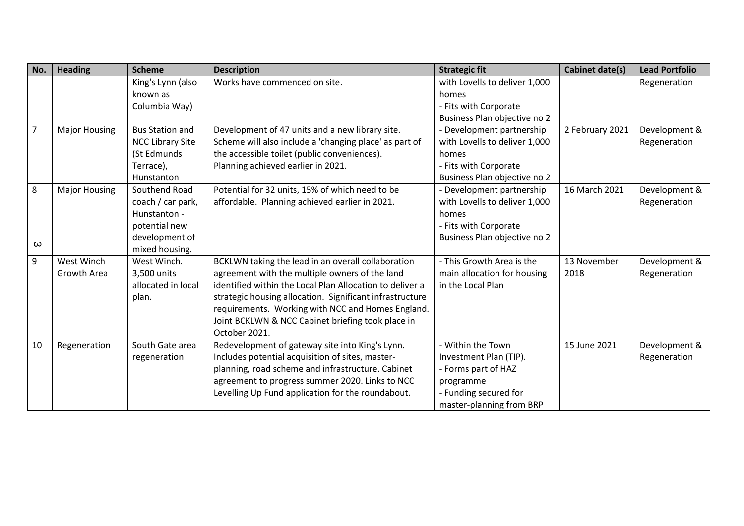| No.            | <b>Heading</b>       | <b>Scheme</b>           | <b>Description</b>                                       | <b>Strategic fit</b>          | <b>Cabinet date(s)</b> | <b>Lead Portfolio</b> |
|----------------|----------------------|-------------------------|----------------------------------------------------------|-------------------------------|------------------------|-----------------------|
|                |                      | King's Lynn (also       | Works have commenced on site.                            | with Lovells to deliver 1,000 |                        | Regeneration          |
|                |                      | known as                |                                                          | homes                         |                        |                       |
|                |                      | Columbia Way)           |                                                          | - Fits with Corporate         |                        |                       |
|                |                      |                         |                                                          | Business Plan objective no 2  |                        |                       |
| $\overline{7}$ | <b>Major Housing</b> | <b>Bus Station and</b>  | Development of 47 units and a new library site.          | - Development partnership     | 2 February 2021        | Development &         |
|                |                      | <b>NCC Library Site</b> | Scheme will also include a 'changing place' as part of   | with Lovells to deliver 1,000 |                        | Regeneration          |
|                |                      | (St Edmunds             | the accessible toilet (public conveniences).             | homes                         |                        |                       |
|                |                      | Terrace),               | Planning achieved earlier in 2021.                       | - Fits with Corporate         |                        |                       |
|                |                      | Hunstanton              |                                                          | Business Plan objective no 2  |                        |                       |
| 8              | <b>Major Housing</b> | Southend Road           | Potential for 32 units, 15% of which need to be          | - Development partnership     | 16 March 2021          | Development &         |
|                |                      | coach / car park,       | affordable. Planning achieved earlier in 2021.           | with Lovells to deliver 1,000 |                        | Regeneration          |
|                |                      | Hunstanton -            |                                                          | homes                         |                        |                       |
|                |                      | potential new           |                                                          | - Fits with Corporate         |                        |                       |
| ω              |                      | development of          |                                                          | Business Plan objective no 2  |                        |                       |
|                |                      | mixed housing.          |                                                          |                               |                        |                       |
| 9              | West Winch           | West Winch.             | BCKLWN taking the lead in an overall collaboration       | - This Growth Area is the     | 13 November            | Development &         |
|                | Growth Area          | 3,500 units             | agreement with the multiple owners of the land           | main allocation for housing   | 2018                   | Regeneration          |
|                |                      | allocated in local      | identified within the Local Plan Allocation to deliver a | in the Local Plan             |                        |                       |
|                |                      | plan.                   | strategic housing allocation. Significant infrastructure |                               |                        |                       |
|                |                      |                         | requirements. Working with NCC and Homes England.        |                               |                        |                       |
|                |                      |                         | Joint BCKLWN & NCC Cabinet briefing took place in        |                               |                        |                       |
|                |                      |                         | October 2021.                                            |                               |                        |                       |
| 10             | Regeneration         | South Gate area         | Redevelopment of gateway site into King's Lynn.          | - Within the Town             | 15 June 2021           | Development &         |
|                |                      | regeneration            | Includes potential acquisition of sites, master-         | Investment Plan (TIP).        |                        | Regeneration          |
|                |                      |                         | planning, road scheme and infrastructure. Cabinet        | - Forms part of HAZ           |                        |                       |
|                |                      |                         | agreement to progress summer 2020. Links to NCC          | programme                     |                        |                       |
|                |                      |                         | Levelling Up Fund application for the roundabout.        | - Funding secured for         |                        |                       |
|                |                      |                         |                                                          | master-planning from BRP      |                        |                       |